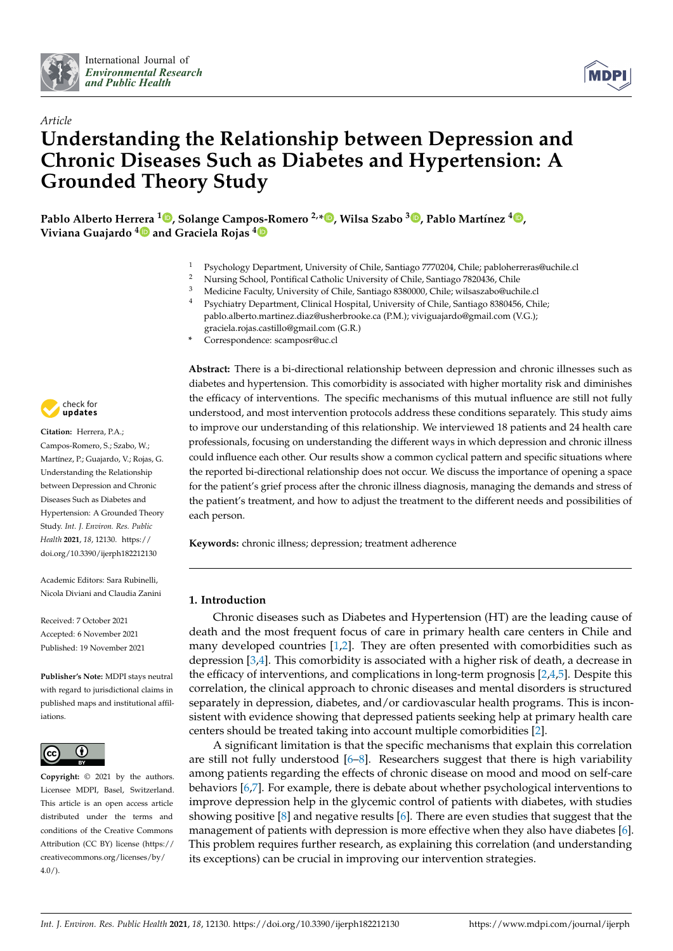



# *Article* **Understanding the Relationship between Depression and Chronic Diseases Such as Diabetes and Hypertension: A Grounded Theory Study**

**Pablo Alberto Herrera <sup>1</sup> [,](https://orcid.org/0000-0003-2413-7514) Solange Campos-Romero 2,\* [,](https://orcid.org/0000-0002-8838-7697) Wilsa Szabo <sup>3</sup> [,](https://orcid.org/0000-0002-8211-3169) Pablo Martínez <sup>4</sup> [,](https://orcid.org/0000-0003-4482-7993) Viviana Guajardo [4](https://orcid.org/0000-0003-3906-5584) and Graciela Rojas [4](https://orcid.org/0000-0002-9577-7415)**

- <sup>1</sup> Psychology Department, University of Chile, Santiago 7770204, Chile; pabloherreras@uchile.cl<br><sup>2</sup> Nursing School, Pontifical Catholic University of Chile, Santiago 7820436, Chile
- <sup>2</sup> Nursing School, Pontifical Catholic University of Chile, Santiago 7820436, Chile<br><sup>3</sup> Modising Forulty University of Chile, Santiago 8280000, Chile, wilsograba@ugh
- <sup>3</sup> Medicine Faculty, University of Chile, Santiago 8380000, Chile; wilsaszabo@uchile.cl<br><sup>4</sup> Peychiatry Dopartment, Clinical Hospital, University of Chile, Santiago 8380456, Chi
- <sup>4</sup> Psychiatry Department, Clinical Hospital, University of Chile, Santiago 8380456, Chile; pablo.alberto.martinez.diaz@usherbrooke.ca (P.M.); viviguajardo@gmail.com (V.G.); graciela.rojas.castillo@gmail.com (G.R.)
- **\*** Correspondence: scamposr@uc.cl



**Citation:** Herrera, P.A.; Campos-Romero, S.; Szabo, W.; Martínez, P.; Guajardo, V.; Rojas, G. Understanding the Relationship between Depression and Chronic Diseases Such as Diabetes and Hypertension: A Grounded Theory Study. *Int. J. Environ. Res. Public Health* **2021**, *18*, 12130. [https://](https://doi.org/10.3390/ijerph182212130) [doi.org/10.3390/ijerph182212130](https://doi.org/10.3390/ijerph182212130)

Academic Editors: Sara Rubinelli, Nicola Diviani and Claudia Zanini

Received: 7 October 2021 Accepted: 6 November 2021 Published: 19 November 2021

**Publisher's Note:** MDPI stays neutral with regard to jurisdictional claims in published maps and institutional affiliations.



**Copyright:** © 2021 by the authors. Licensee MDPI, Basel, Switzerland. This article is an open access article distributed under the terms and conditions of the Creative Commons Attribution (CC BY) license (https:/[/](https://creativecommons.org/licenses/by/4.0/) [creativecommons.org/licenses/by/](https://creativecommons.org/licenses/by/4.0/) 4.0/).

**Abstract:** There is a bi-directional relationship between depression and chronic illnesses such as diabetes and hypertension. This comorbidity is associated with higher mortality risk and diminishes the efficacy of interventions. The specific mechanisms of this mutual influence are still not fully understood, and most intervention protocols address these conditions separately. This study aims to improve our understanding of this relationship. We interviewed 18 patients and 24 health care professionals, focusing on understanding the different ways in which depression and chronic illness could influence each other. Our results show a common cyclical pattern and specific situations where the reported bi-directional relationship does not occur. We discuss the importance of opening a space for the patient's grief process after the chronic illness diagnosis, managing the demands and stress of the patient's treatment, and how to adjust the treatment to the different needs and possibilities of each person.

**Keywords:** chronic illness; depression; treatment adherence

# **1. Introduction**

Chronic diseases such as Diabetes and Hypertension (HT) are the leading cause of death and the most frequent focus of care in primary health care centers in Chile and many developed countries [\[1](#page-12-0)[,2\]](#page-12-1). They are often presented with comorbidities such as depression [\[3](#page-12-2)[,4\]](#page-13-0). This comorbidity is associated with a higher risk of death, a decrease in the efficacy of interventions, and complications in long-term prognosis  $[2,4,5]$  $[2,4,5]$  $[2,4,5]$ . Despite this correlation, the clinical approach to chronic diseases and mental disorders is structured separately in depression, diabetes, and/or cardiovascular health programs. This is inconsistent with evidence showing that depressed patients seeking help at primary health care centers should be treated taking into account multiple comorbidities [\[2\]](#page-12-1).

A significant limitation is that the specific mechanisms that explain this correlation are still not fully understood  $[6-8]$  $[6-8]$ . Researchers suggest that there is high variability among patients regarding the effects of chronic disease on mood and mood on self-care behaviors [\[6,](#page-13-2)[7\]](#page-13-4). For example, there is debate about whether psychological interventions to improve depression help in the glycemic control of patients with diabetes, with studies showing positive  $[8]$  and negative results  $[6]$ . There are even studies that suggest that the management of patients with depression is more effective when they also have diabetes [\[6\]](#page-13-2). This problem requires further research, as explaining this correlation (and understanding its exceptions) can be crucial in improving our intervention strategies.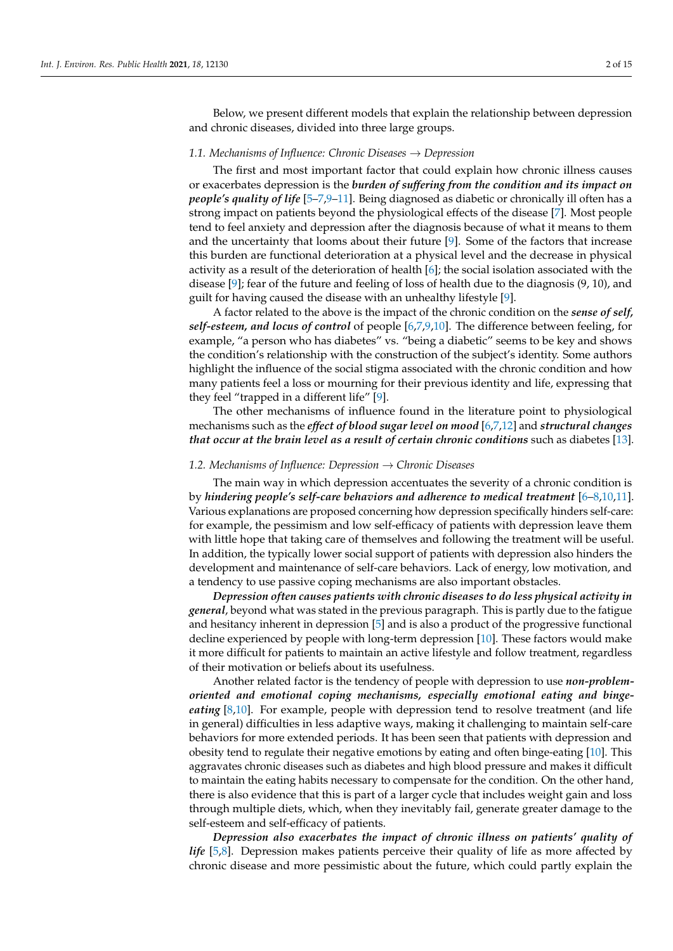Below, we present different models that explain the relationship between depression and chronic diseases, divided into three large groups.

## *1.1. Mechanisms of Influence: Chronic Diseases* → *Depression*

The first and most important factor that could explain how chronic illness causes or exacerbates depression is the *burden of suffering from the condition and its impact on people's quality of life* [\[5–](#page-13-1)[7](#page-13-4)[,9–](#page-13-5)[11\]](#page-13-6). Being diagnosed as diabetic or chronically ill often has a strong impact on patients beyond the physiological effects of the disease [\[7\]](#page-13-4). Most people tend to feel anxiety and depression after the diagnosis because of what it means to them and the uncertainty that looms about their future [\[9\]](#page-13-5). Some of the factors that increase this burden are functional deterioration at a physical level and the decrease in physical activity as a result of the deterioration of health [\[6\]](#page-13-2); the social isolation associated with the disease [\[9\]](#page-13-5); fear of the future and feeling of loss of health due to the diagnosis (9, 10), and guilt for having caused the disease with an unhealthy lifestyle [\[9\]](#page-13-5).

A factor related to the above is the impact of the chronic condition on the *sense of self, self-esteem, and locus of control* of people [\[6,](#page-13-2)[7,](#page-13-4)[9,](#page-13-5)[10\]](#page-13-7). The difference between feeling, for example, "a person who has diabetes" vs. "being a diabetic" seems to be key and shows the condition's relationship with the construction of the subject's identity. Some authors highlight the influence of the social stigma associated with the chronic condition and how many patients feel a loss or mourning for their previous identity and life, expressing that they feel "trapped in a different life" [\[9\]](#page-13-5).

The other mechanisms of influence found in the literature point to physiological mechanisms such as the *effect of blood sugar level on mood* [\[6,](#page-13-2)[7,](#page-13-4)[12\]](#page-13-8) and *structural changes that occur at the brain level as a result of certain chronic conditions* such as diabetes [\[13\]](#page-13-9).

# *1.2. Mechanisms of Influence: Depression* → *Chronic Diseases*

The main way in which depression accentuates the severity of a chronic condition is by *hindering people's self-care behaviors and adherence to medical treatment* [\[6](#page-13-2)[–8,](#page-13-3)[10,](#page-13-7)[11\]](#page-13-6). Various explanations are proposed concerning how depression specifically hinders self-care: for example, the pessimism and low self-efficacy of patients with depression leave them with little hope that taking care of themselves and following the treatment will be useful. In addition, the typically lower social support of patients with depression also hinders the development and maintenance of self-care behaviors. Lack of energy, low motivation, and a tendency to use passive coping mechanisms are also important obstacles.

*Depression often causes patients with chronic diseases to do less physical activity in general*, beyond what was stated in the previous paragraph. This is partly due to the fatigue and hesitancy inherent in depression [\[5\]](#page-13-1) and is also a product of the progressive functional decline experienced by people with long-term depression [\[10\]](#page-13-7). These factors would make it more difficult for patients to maintain an active lifestyle and follow treatment, regardless of their motivation or beliefs about its usefulness.

Another related factor is the tendency of people with depression to use *non-problemoriented and emotional coping mechanisms, especially emotional eating and bingeeating* [\[8,](#page-13-3)[10\]](#page-13-7). For example, people with depression tend to resolve treatment (and life in general) difficulties in less adaptive ways, making it challenging to maintain self-care behaviors for more extended periods. It has been seen that patients with depression and obesity tend to regulate their negative emotions by eating and often binge-eating [\[10\]](#page-13-7). This aggravates chronic diseases such as diabetes and high blood pressure and makes it difficult to maintain the eating habits necessary to compensate for the condition. On the other hand, there is also evidence that this is part of a larger cycle that includes weight gain and loss through multiple diets, which, when they inevitably fail, generate greater damage to the self-esteem and self-efficacy of patients.

*Depression also exacerbates the impact of chronic illness on patients' quality of life* [\[5](#page-13-1)[,8\]](#page-13-3). Depression makes patients perceive their quality of life as more affected by chronic disease and more pessimistic about the future, which could partly explain the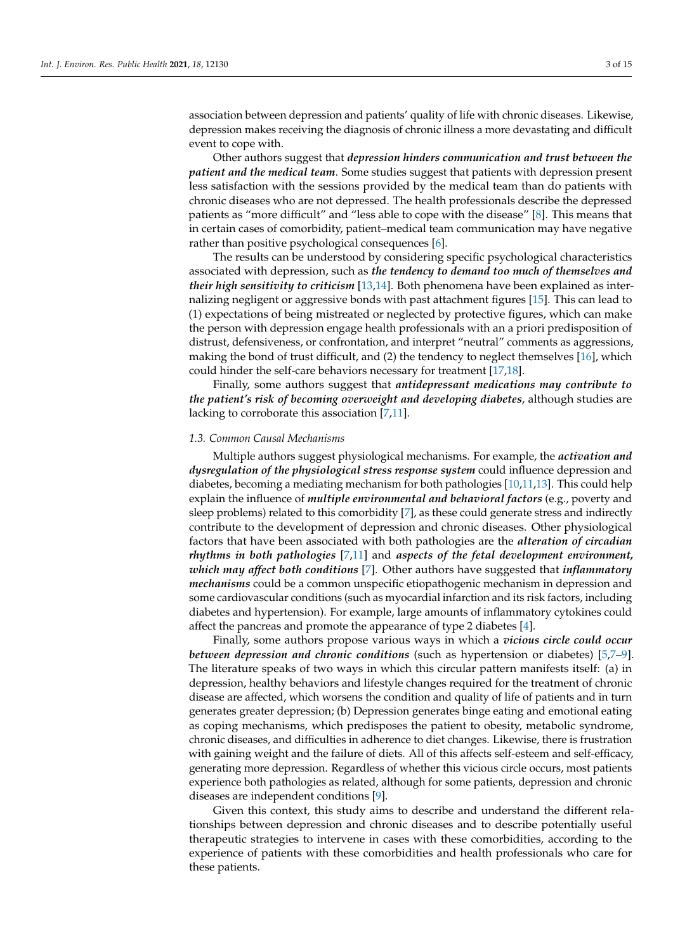association between depression and patients' quality of life with chronic diseases. Likewise, depression makes receiving the diagnosis of chronic illness a more devastating and difficult event to cope with.

Other authors suggest that *depression hinders communication and trust between the patient and the medical team*. Some studies suggest that patients with depression present less satisfaction with the sessions provided by the medical team than do patients with chronic diseases who are not depressed. The health professionals describe the depressed patients as "more difficult" and "less able to cope with the disease" [\[8\]](#page-13-3). This means that in certain cases of comorbidity, patient–medical team communication may have negative rather than positive psychological consequences [\[6\]](#page-13-2).

The results can be understood by considering specific psychological characteristics associated with depression, such as *the tendency to demand too much of themselves and their high sensitivity to criticism* [\[13](#page-13-9)[,14\]](#page-13-10). Both phenomena have been explained as internalizing negligent or aggressive bonds with past attachment figures [\[15\]](#page-13-11). This can lead to (1) expectations of being mistreated or neglected by protective figures, which can make the person with depression engage health professionals with an a priori predisposition of distrust, defensiveness, or confrontation, and interpret "neutral" comments as aggressions, making the bond of trust difficult, and (2) the tendency to neglect themselves [\[16\]](#page-13-12), which could hinder the self-care behaviors necessary for treatment [\[17,](#page-13-13)[18\]](#page-13-14).

Finally, some authors suggest that *antidepressant medications may contribute to the patient's risk of becoming overweight and developing diabetes*, although studies are lacking to corroborate this association [\[7](#page-13-4)[,11\]](#page-13-6).

#### *1.3. Common Causal Mechanisms*

Multiple authors suggest physiological mechanisms. For example, the *activation and dysregulation of the physiological stress response system* could influence depression and diabetes, becoming a mediating mechanism for both pathologies [\[10,](#page-13-7)[11](#page-13-6)[,13\]](#page-13-9). This could help explain the influence of *multiple environmental and behavioral factors* (e.g., poverty and sleep problems) related to this comorbidity [\[7\]](#page-13-4), as these could generate stress and indirectly contribute to the development of depression and chronic diseases. Other physiological factors that have been associated with both pathologies are the *alteration of circadian rhythms in both pathologies* [\[7](#page-13-4)[,11\]](#page-13-6) and *aspects of the fetal development environment, which may affect both conditions* [\[7\]](#page-13-4). Other authors have suggested that *inflammatory mechanisms* could be a common unspecific etiopathogenic mechanism in depression and some cardiovascular conditions (such as myocardial infarction and its risk factors, including diabetes and hypertension). For example, large amounts of inflammatory cytokines could affect the pancreas and promote the appearance of type 2 diabetes [\[4\]](#page-13-0).

Finally, some authors propose various ways in which a *vicious circle could occur between depression and chronic conditions* (such as hypertension or diabetes) [\[5,](#page-13-1)[7](#page-13-4)[–9\]](#page-13-5). The literature speaks of two ways in which this circular pattern manifests itself: (a) in depression, healthy behaviors and lifestyle changes required for the treatment of chronic disease are affected, which worsens the condition and quality of life of patients and in turn generates greater depression; (b) Depression generates binge eating and emotional eating as coping mechanisms, which predisposes the patient to obesity, metabolic syndrome, chronic diseases, and difficulties in adherence to diet changes. Likewise, there is frustration with gaining weight and the failure of diets. All of this affects self-esteem and self-efficacy, generating more depression. Regardless of whether this vicious circle occurs, most patients experience both pathologies as related, although for some patients, depression and chronic diseases are independent conditions [\[9\]](#page-13-5).

Given this context, this study aims to describe and understand the different relationships between depression and chronic diseases and to describe potentially useful therapeutic strategies to intervene in cases with these comorbidities, according to the experience of patients with these comorbidities and health professionals who care for these patients.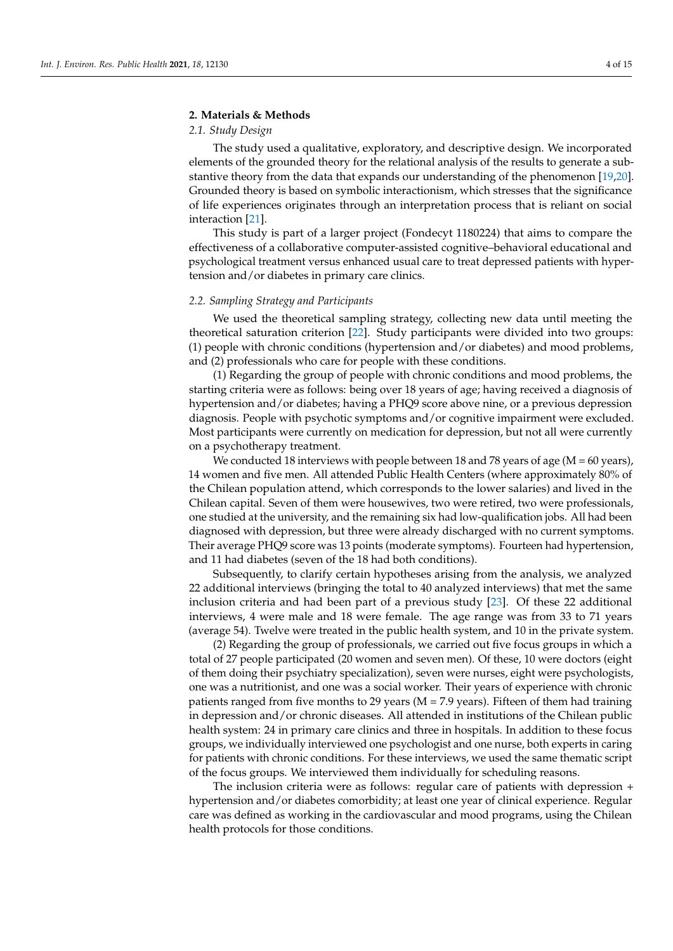#### **2. Materials & Methods**

# *2.1. Study Design*

The study used a qualitative, exploratory, and descriptive design. We incorporated elements of the grounded theory for the relational analysis of the results to generate a substantive theory from the data that expands our understanding of the phenomenon [\[19](#page-13-15)[,20\]](#page-13-16). Grounded theory is based on symbolic interactionism, which stresses that the significance of life experiences originates through an interpretation process that is reliant on social interaction [\[21\]](#page-13-17).

This study is part of a larger project (Fondecyt 1180224) that aims to compare the effectiveness of a collaborative computer-assisted cognitive–behavioral educational and psychological treatment versus enhanced usual care to treat depressed patients with hypertension and/or diabetes in primary care clinics.

## *2.2. Sampling Strategy and Participants*

We used the theoretical sampling strategy, collecting new data until meeting the theoretical saturation criterion [\[22\]](#page-13-18). Study participants were divided into two groups: (1) people with chronic conditions (hypertension and/or diabetes) and mood problems, and (2) professionals who care for people with these conditions.

(1) Regarding the group of people with chronic conditions and mood problems, the starting criteria were as follows: being over 18 years of age; having received a diagnosis of hypertension and/or diabetes; having a PHQ9 score above nine, or a previous depression diagnosis. People with psychotic symptoms and/or cognitive impairment were excluded. Most participants were currently on medication for depression, but not all were currently on a psychotherapy treatment.

We conducted 18 interviews with people between 18 and 78 years of age ( $M = 60$  years), 14 women and five men. All attended Public Health Centers (where approximately 80% of the Chilean population attend, which corresponds to the lower salaries) and lived in the Chilean capital. Seven of them were housewives, two were retired, two were professionals, one studied at the university, and the remaining six had low-qualification jobs. All had been diagnosed with depression, but three were already discharged with no current symptoms. Their average PHQ9 score was 13 points (moderate symptoms). Fourteen had hypertension, and 11 had diabetes (seven of the 18 had both conditions).

Subsequently, to clarify certain hypotheses arising from the analysis, we analyzed 22 additional interviews (bringing the total to 40 analyzed interviews) that met the same inclusion criteria and had been part of a previous study [\[23\]](#page-13-19). Of these 22 additional interviews, 4 were male and 18 were female. The age range was from 33 to 71 years (average 54). Twelve were treated in the public health system, and 10 in the private system.

(2) Regarding the group of professionals, we carried out five focus groups in which a total of 27 people participated (20 women and seven men). Of these, 10 were doctors (eight of them doing their psychiatry specialization), seven were nurses, eight were psychologists, one was a nutritionist, and one was a social worker. Their years of experience with chronic patients ranged from five months to 29 years ( $M = 7.9$  years). Fifteen of them had training in depression and/or chronic diseases. All attended in institutions of the Chilean public health system: 24 in primary care clinics and three in hospitals. In addition to these focus groups, we individually interviewed one psychologist and one nurse, both experts in caring for patients with chronic conditions. For these interviews, we used the same thematic script of the focus groups. We interviewed them individually for scheduling reasons.

The inclusion criteria were as follows: regular care of patients with depression + hypertension and/or diabetes comorbidity; at least one year of clinical experience. Regular care was defined as working in the cardiovascular and mood programs, using the Chilean health protocols for those conditions.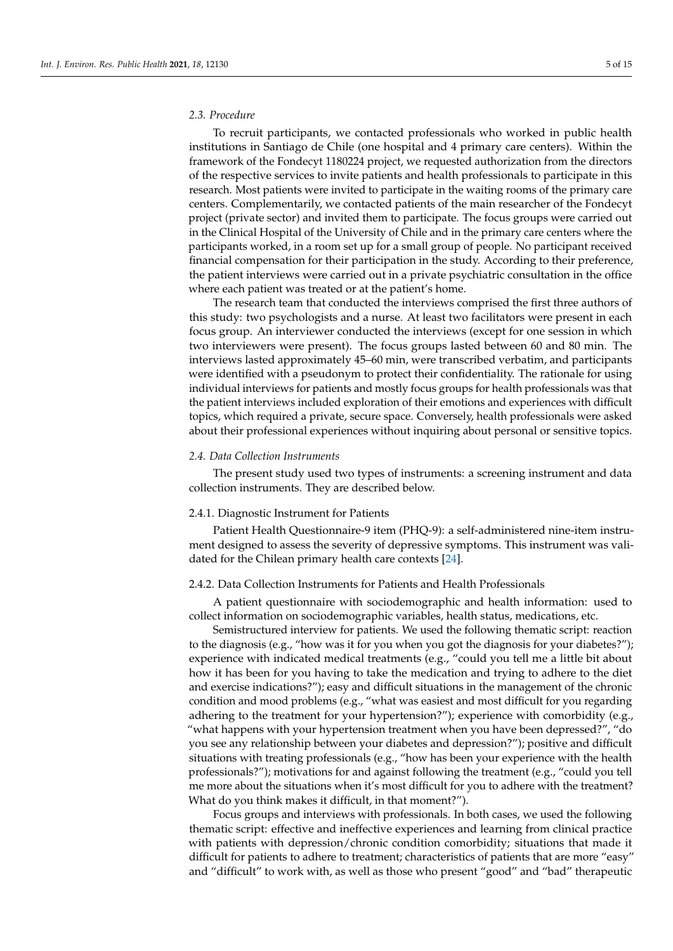# *2.3. Procedure*

To recruit participants, we contacted professionals who worked in public health institutions in Santiago de Chile (one hospital and 4 primary care centers). Within the framework of the Fondecyt 1180224 project, we requested authorization from the directors of the respective services to invite patients and health professionals to participate in this research. Most patients were invited to participate in the waiting rooms of the primary care centers. Complementarily, we contacted patients of the main researcher of the Fondecyt project (private sector) and invited them to participate. The focus groups were carried out in the Clinical Hospital of the University of Chile and in the primary care centers where the participants worked, in a room set up for a small group of people. No participant received financial compensation for their participation in the study. According to their preference, the patient interviews were carried out in a private psychiatric consultation in the office where each patient was treated or at the patient's home.

The research team that conducted the interviews comprised the first three authors of this study: two psychologists and a nurse. At least two facilitators were present in each focus group. An interviewer conducted the interviews (except for one session in which two interviewers were present). The focus groups lasted between 60 and 80 min. The interviews lasted approximately 45–60 min, were transcribed verbatim, and participants were identified with a pseudonym to protect their confidentiality. The rationale for using individual interviews for patients and mostly focus groups for health professionals was that the patient interviews included exploration of their emotions and experiences with difficult topics, which required a private, secure space. Conversely, health professionals were asked about their professional experiences without inquiring about personal or sensitive topics.

#### *2.4. Data Collection Instruments*

The present study used two types of instruments: a screening instrument and data collection instruments. They are described below.

# 2.4.1. Diagnostic Instrument for Patients

Patient Health Questionnaire-9 item (PHQ-9): a self-administered nine-item instrument designed to assess the severity of depressive symptoms. This instrument was validated for the Chilean primary health care contexts [\[24\]](#page-13-20).

#### 2.4.2. Data Collection Instruments for Patients and Health Professionals

A patient questionnaire with sociodemographic and health information: used to collect information on sociodemographic variables, health status, medications, etc.

Semistructured interview for patients. We used the following thematic script: reaction to the diagnosis (e.g., "how was it for you when you got the diagnosis for your diabetes?"); experience with indicated medical treatments (e.g., "could you tell me a little bit about how it has been for you having to take the medication and trying to adhere to the diet and exercise indications?"); easy and difficult situations in the management of the chronic condition and mood problems (e.g., "what was easiest and most difficult for you regarding adhering to the treatment for your hypertension?"); experience with comorbidity (e.g., "what happens with your hypertension treatment when you have been depressed?", "do you see any relationship between your diabetes and depression?"); positive and difficult situations with treating professionals (e.g., "how has been your experience with the health professionals?"); motivations for and against following the treatment (e.g., "could you tell me more about the situations when it's most difficult for you to adhere with the treatment? What do you think makes it difficult, in that moment?").

Focus groups and interviews with professionals. In both cases, we used the following thematic script: effective and ineffective experiences and learning from clinical practice with patients with depression/chronic condition comorbidity; situations that made it difficult for patients to adhere to treatment; characteristics of patients that are more "easy" and "difficult" to work with, as well as those who present "good" and "bad" therapeutic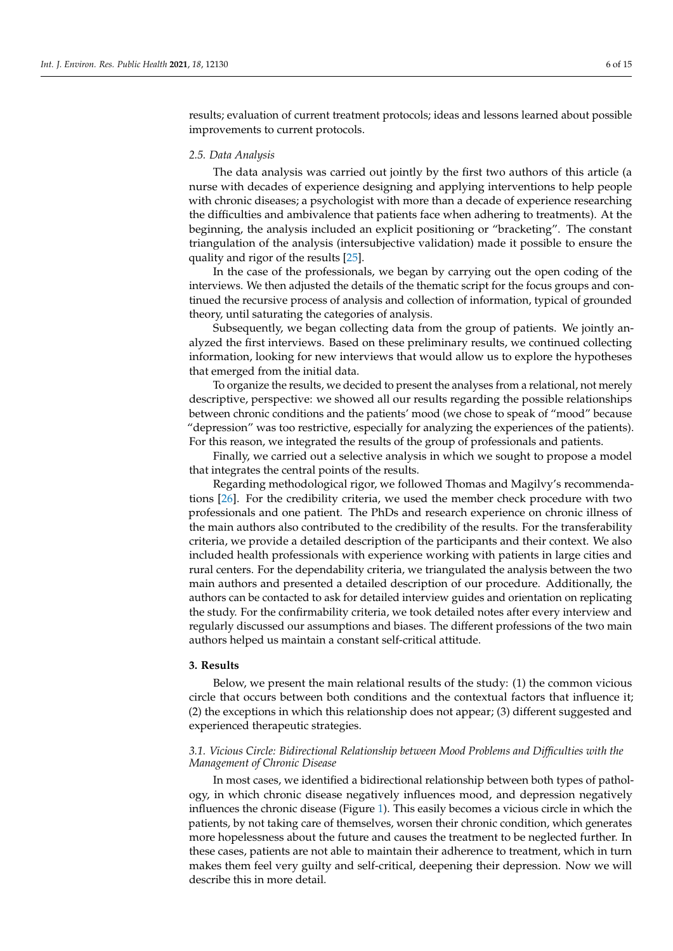results; evaluation of current treatment protocols; ideas and lessons learned about possible improvements to current protocols.

#### *2.5. Data Analysis*

The data analysis was carried out jointly by the first two authors of this article (a nurse with decades of experience designing and applying interventions to help people with chronic diseases; a psychologist with more than a decade of experience researching the difficulties and ambivalence that patients face when adhering to treatments). At the beginning, the analysis included an explicit positioning or "bracketing". The constant triangulation of the analysis (intersubjective validation) made it possible to ensure the quality and rigor of the results [\[25\]](#page-13-21).

In the case of the professionals, we began by carrying out the open coding of the interviews. We then adjusted the details of the thematic script for the focus groups and continued the recursive process of analysis and collection of information, typical of grounded theory, until saturating the categories of analysis.

Subsequently, we began collecting data from the group of patients. We jointly analyzed the first interviews. Based on these preliminary results, we continued collecting information, looking for new interviews that would allow us to explore the hypotheses that emerged from the initial data.

To organize the results, we decided to present the analyses from a relational, not merely descriptive, perspective: we showed all our results regarding the possible relationships between chronic conditions and the patients' mood (we chose to speak of "mood" because "depression" was too restrictive, especially for analyzing the experiences of the patients). For this reason, we integrated the results of the group of professionals and patients.

Finally, we carried out a selective analysis in which we sought to propose a model that integrates the central points of the results.

Regarding methodological rigor, we followed Thomas and Magilvy's recommendations [\[26\]](#page-13-22). For the credibility criteria, we used the member check procedure with two professionals and one patient. The PhDs and research experience on chronic illness of the main authors also contributed to the credibility of the results. For the transferability criteria, we provide a detailed description of the participants and their context. We also included health professionals with experience working with patients in large cities and rural centers. For the dependability criteria, we triangulated the analysis between the two main authors and presented a detailed description of our procedure. Additionally, the authors can be contacted to ask for detailed interview guides and orientation on replicating the study. For the confirmability criteria, we took detailed notes after every interview and regularly discussed our assumptions and biases. The different professions of the two main authors helped us maintain a constant self-critical attitude.

#### **3. Results**

Below, we present the main relational results of the study: (1) the common vicious circle that occurs between both conditions and the contextual factors that influence it; (2) the exceptions in which this relationship does not appear; (3) different suggested and experienced therapeutic strategies.

# *3.1. Vicious Circle: Bidirectional Relationship between Mood Problems and Difficulties with the Management of Chronic Disease*

In most cases, we identified a bidirectional relationship between both types of pathology, in which chronic disease negatively influences mood, and depression negatively influences the chronic disease (Figure [1\)](#page-6-0). This easily becomes a vicious circle in which the patients, by not taking care of themselves, worsen their chronic condition, which generates more hopelessness about the future and causes the treatment to be neglected further. In these cases, patients are not able to maintain their adherence to treatment, which in turn makes them feel very guilty and self-critical, deepening their depression. Now we will describe this in more detail.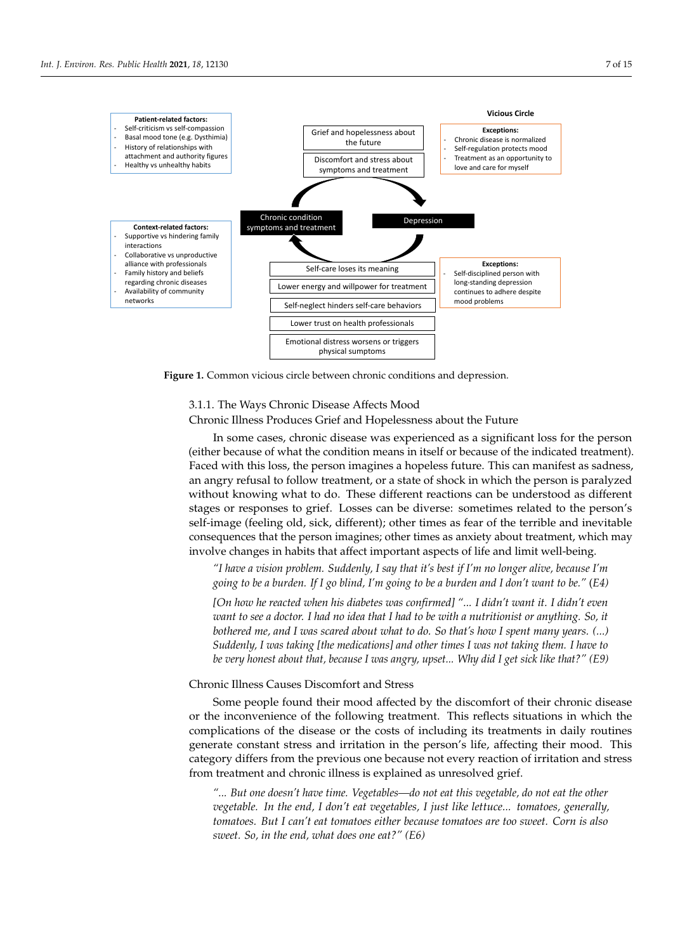<span id="page-6-0"></span>

describe this in more detail.

**Figure 1.** Common vicious circle between chronic conditions and depression. **Figure 1.** Common vicious circle between chronic conditions and depression.

# 3.1.1. The Ways Chronic Disease Affects Mood 3.1.1. The Ways Chronic Disease Affects Mood

Chronic Illness Produces Grief and Hopelessness about the Future

In some cases, chronic disease was experienced as a significant loss for the person (either because of what the condition means in itself or because of the indicated treatment). Faced with this loss, the person imagines a hopeless future. This can manifest as sadness, an angry refusal to follow treatment, or a state of shock in which the person is paralyzed without knowing what to do. These different reactions can be understood as different stages or responses to grief. Losses can be diverse: sometimes related to the person's self-image (feeling old, sick, different); other times as fear of the terrible and inevitable consequences that the person imagines; other times as anxiety about treatment, which may involve changes in habits that affect important aspects of life and limit well-being.

which may involve changes in habits that affect important aspects of life and limit well-*"I have a vision problem. Suddenly, I say that it's best if I'm no longer alive, because I'm* being. *going to be a burden. If I go blind, I'm going to be a burden and I don't want to be."* (*E4)*

*"I have a vision problem. Suddenly, I say that it's best if I'm no longer alive, because I'm going [On how he reacted when his diabetes was confirmed] "... I didn't want it. I didn't even* want to see a doctor. I had no idea that I had to be with a nutritionist or anything. So, it bothered me, and I was scared about what to do. So that's how I spent many years. (...) *to see a doctor. I had no idea that I had to be with a nutritionist or anything. So, it bothered Suddenly, I was taking [the medications] and other times I was not taking them. I have to me, and I was scared about what to do. So that's how I spent many years. (...) Suddenly, I was be very honest about that, because I was angry, upset... Why did I get sick like that?" (E9)*

#### *that, because I was angry, upset... Why did I get sick like that?" (E9)*  Chronic Illness Causes Discomfort and Stress

or the inconvenience of the following treatment. This reflects situations in which the Some people found their mood affected by the discomfort of their chronic disease complications of the disease or the costs of including its treatments in daily routines generate constant stress and irritation in the person's life, affecting their mood. This category differs from the previous one because not every reaction of irritation and stress from treatment and chronic illness is explained as unresolved grief.

*"... But one doesn't have time. Vegetables—do not eat this vegetable, do not eat the other vegetable. In the end, I don't eat vegetables, I just like lettuce... tomatoes, generally, tomatoes. But I can't eat tomatoes either because tomatoes are too sweet. Corn is also sweet. So, in the end, what does one eat?" (E6)*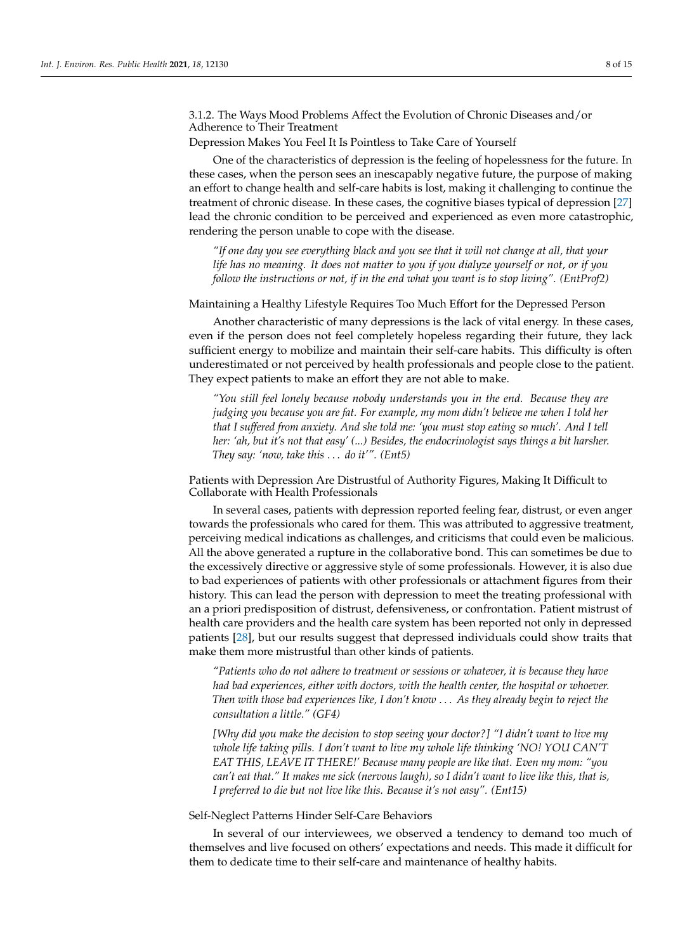3.1.2. The Ways Mood Problems Affect the Evolution of Chronic Diseases and/or Adherence to Their Treatment

Depression Makes You Feel It Is Pointless to Take Care of Yourself

One of the characteristics of depression is the feeling of hopelessness for the future. In these cases, when the person sees an inescapably negative future, the purpose of making an effort to change health and self-care habits is lost, making it challenging to continue the treatment of chronic disease. In these cases, the cognitive biases typical of depression [\[27\]](#page-13-23) lead the chronic condition to be perceived and experienced as even more catastrophic, rendering the person unable to cope with the disease.

*"If one day you see everything black and you see that it will not change at all, that your life has no meaning. It does not matter to you if you dialyze yourself or not, or if you follow the instructions or not, if in the end what you want is to stop living". (EntProf2)*

Maintaining a Healthy Lifestyle Requires Too Much Effort for the Depressed Person

Another characteristic of many depressions is the lack of vital energy. In these cases, even if the person does not feel completely hopeless regarding their future, they lack sufficient energy to mobilize and maintain their self-care habits. This difficulty is often underestimated or not perceived by health professionals and people close to the patient. They expect patients to make an effort they are not able to make.

*"You still feel lonely because nobody understands you in the end. Because they are judging you because you are fat. For example, my mom didn't believe me when I told her that I suffered from anxiety. And she told me: 'you must stop eating so much'. And I tell her: 'ah, but it's not that easy' (...) Besides, the endocrinologist says things a bit harsher. They say: 'now, take this* . . . *do it'". (Ent5)*

Patients with Depression Are Distrustful of Authority Figures, Making It Difficult to Collaborate with Health Professionals

In several cases, patients with depression reported feeling fear, distrust, or even anger towards the professionals who cared for them. This was attributed to aggressive treatment, perceiving medical indications as challenges, and criticisms that could even be malicious. All the above generated a rupture in the collaborative bond. This can sometimes be due to the excessively directive or aggressive style of some professionals. However, it is also due to bad experiences of patients with other professionals or attachment figures from their history. This can lead the person with depression to meet the treating professional with an a priori predisposition of distrust, defensiveness, or confrontation. Patient mistrust of health care providers and the health care system has been reported not only in depressed patients [\[28\]](#page-13-24), but our results suggest that depressed individuals could show traits that make them more mistrustful than other kinds of patients.

*"Patients who do not adhere to treatment or sessions or whatever, it is because they have had bad experiences, either with doctors, with the health center, the hospital or whoever. Then with those bad experiences like, I don't know* . . . *As they already begin to reject the consultation a little." (GF4)*

*[Why did you make the decision to stop seeing your doctor?] "I didn't want to live my whole life taking pills. I don't want to live my whole life thinking 'NO! YOU CAN'T EAT THIS, LEAVE IT THERE!' Because many people are like that. Even my mom: "you can't eat that." It makes me sick (nervous laugh), so I didn't want to live like this, that is, I preferred to die but not live like this. Because it's not easy". (Ent15)*

Self-Neglect Patterns Hinder Self-Care Behaviors

In several of our interviewees, we observed a tendency to demand too much of themselves and live focused on others' expectations and needs. This made it difficult for them to dedicate time to their self-care and maintenance of healthy habits.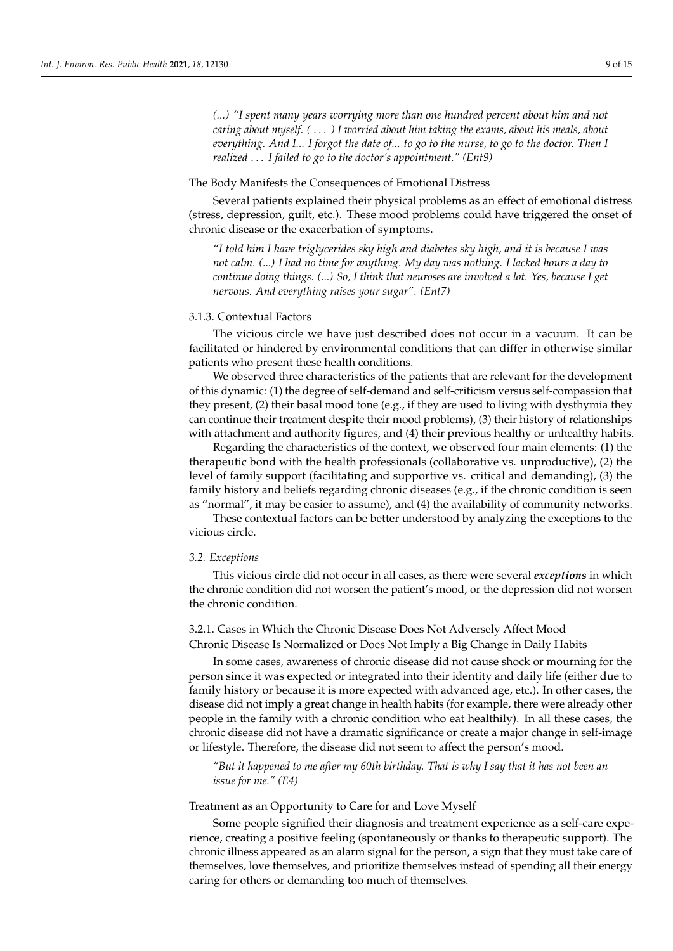*(...) "I spent many years worrying more than one hundred percent about him and not caring about myself. (* . . . *) I worried about him taking the exams, about his meals, about everything. And I... I forgot the date of... to go to the nurse, to go to the doctor. Then I realized* . . . *I failed to go to the doctor's appointment." (Ent9)*

#### The Body Manifests the Consequences of Emotional Distress

Several patients explained their physical problems as an effect of emotional distress (stress, depression, guilt, etc.). These mood problems could have triggered the onset of chronic disease or the exacerbation of symptoms.

*"I told him I have triglycerides sky high and diabetes sky high, and it is because I was not calm. (...) I had no time for anything. My day was nothing. I lacked hours a day to continue doing things. (...) So, I think that neuroses are involved a lot. Yes, because I get nervous. And everything raises your sugar". (Ent7)*

## 3.1.3. Contextual Factors

The vicious circle we have just described does not occur in a vacuum. It can be facilitated or hindered by environmental conditions that can differ in otherwise similar patients who present these health conditions.

We observed three characteristics of the patients that are relevant for the development of this dynamic: (1) the degree of self-demand and self-criticism versus self-compassion that they present, (2) their basal mood tone (e.g., if they are used to living with dysthymia they can continue their treatment despite their mood problems), (3) their history of relationships with attachment and authority figures, and (4) their previous healthy or unhealthy habits.

Regarding the characteristics of the context, we observed four main elements: (1) the therapeutic bond with the health professionals (collaborative vs. unproductive), (2) the level of family support (facilitating and supportive vs. critical and demanding), (3) the family history and beliefs regarding chronic diseases (e.g., if the chronic condition is seen as "normal", it may be easier to assume), and (4) the availability of community networks.

These contextual factors can be better understood by analyzing the exceptions to the vicious circle.

#### <span id="page-8-0"></span>*3.2. Exceptions*

This vicious circle did not occur in all cases, as there were several *exceptions* in which the chronic condition did not worsen the patient's mood, or the depression did not worsen the chronic condition.

# 3.2.1. Cases in Which the Chronic Disease Does Not Adversely Affect Mood Chronic Disease Is Normalized or Does Not Imply a Big Change in Daily Habits

In some cases, awareness of chronic disease did not cause shock or mourning for the person since it was expected or integrated into their identity and daily life (either due to family history or because it is more expected with advanced age, etc.). In other cases, the disease did not imply a great change in health habits (for example, there were already other people in the family with a chronic condition who eat healthily). In all these cases, the chronic disease did not have a dramatic significance or create a major change in self-image or lifestyle. Therefore, the disease did not seem to affect the person's mood.

*"But it happened to me after my 60th birthday. That is why I say that it has not been an issue for me." (E4)*

#### Treatment as an Opportunity to Care for and Love Myself

Some people signified their diagnosis and treatment experience as a self-care experience, creating a positive feeling (spontaneously or thanks to therapeutic support). The chronic illness appeared as an alarm signal for the person, a sign that they must take care of themselves, love themselves, and prioritize themselves instead of spending all their energy caring for others or demanding too much of themselves.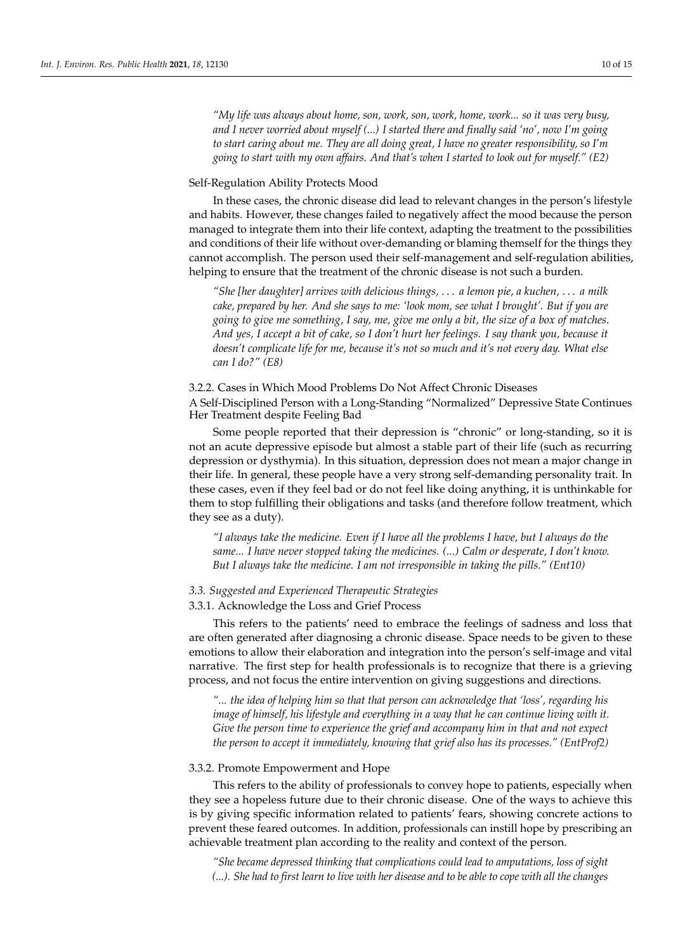*"My life was always about home, son, work, son, work, home, work... so it was very busy, and I never worried about myself (...) I started there and finally said 'no', now I'm going to start caring about me. They are all doing great, I have no greater responsibility, so I'm going to start with my own affairs. And that's when I started to look out for myself." (E2)*

# Self-Regulation Ability Protects Mood

In these cases, the chronic disease did lead to relevant changes in the person's lifestyle and habits. However, these changes failed to negatively affect the mood because the person managed to integrate them into their life context, adapting the treatment to the possibilities and conditions of their life without over-demanding or blaming themself for the things they cannot accomplish. The person used their self-management and self-regulation abilities, helping to ensure that the treatment of the chronic disease is not such a burden.

*"She [her daughter] arrives with delicious things,* . . . *a lemon pie, a kuchen,* . . . *a milk cake, prepared by her. And she says to me: 'look mom, see what I brought'. But if you are going to give me something, I say, me, give me only a bit, the size of a box of matches. And yes, I accept a bit of cake, so I don't hurt her feelings. I say thank you, because it doesn't complicate life for me, because it's not so much and it's not every day. What else can I do?" (E8)*

# 3.2.2. Cases in Which Mood Problems Do Not Affect Chronic Diseases

A Self-Disciplined Person with a Long-Standing "Normalized" Depressive State Continues Her Treatment despite Feeling Bad

Some people reported that their depression is "chronic" or long-standing, so it is not an acute depressive episode but almost a stable part of their life (such as recurring depression or dysthymia). In this situation, depression does not mean a major change in their life. In general, these people have a very strong self-demanding personality trait. In these cases, even if they feel bad or do not feel like doing anything, it is unthinkable for them to stop fulfilling their obligations and tasks (and therefore follow treatment, which they see as a duty).

*"I always take the medicine. Even if I have all the problems I have, but I always do the same... I have never stopped taking the medicines. (...) Calm or desperate, I don't know. But I always take the medicine. I am not irresponsible in taking the pills." (Ent10)*

# *3.3. Suggested and Experienced Therapeutic Strategies*

# 3.3.1. Acknowledge the Loss and Grief Process

This refers to the patients' need to embrace the feelings of sadness and loss that are often generated after diagnosing a chronic disease. Space needs to be given to these emotions to allow their elaboration and integration into the person's self-image and vital narrative. The first step for health professionals is to recognize that there is a grieving process, and not focus the entire intervention on giving suggestions and directions.

*"... the idea of helping him so that that person can acknowledge that 'loss', regarding his image of himself, his lifestyle and everything in a way that he can continue living with it. Give the person time to experience the grief and accompany him in that and not expect the person to accept it immediately, knowing that grief also has its processes." (EntProf2)*

#### 3.3.2. Promote Empowerment and Hope

This refers to the ability of professionals to convey hope to patients, especially when they see a hopeless future due to their chronic disease. One of the ways to achieve this is by giving specific information related to patients' fears, showing concrete actions to prevent these feared outcomes. In addition, professionals can instill hope by prescribing an achievable treatment plan according to the reality and context of the person.

*"She became depressed thinking that complications could lead to amputations, loss of sight (...). She had to first learn to live with her disease and to be able to cope with all the changes*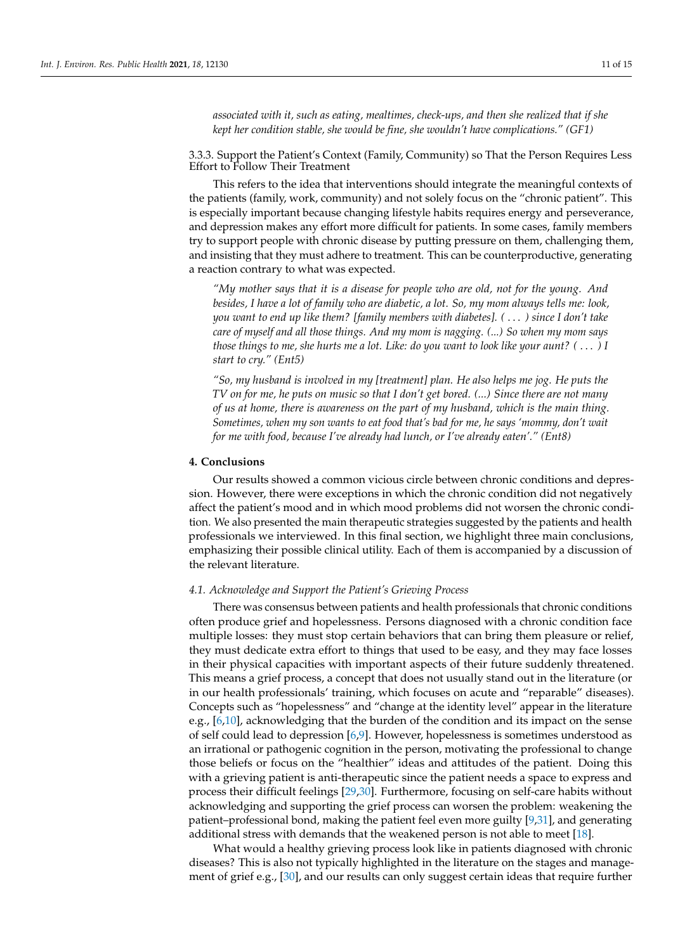*associated with it, such as eating, mealtimes, check-ups, and then she realized that if she kept her condition stable, she would be fine, she wouldn't have complications." (GF1)*

3.3.3. Support the Patient's Context (Family, Community) so That the Person Requires Less Effort to Follow Their Treatment

This refers to the idea that interventions should integrate the meaningful contexts of the patients (family, work, community) and not solely focus on the "chronic patient". This is especially important because changing lifestyle habits requires energy and perseverance, and depression makes any effort more difficult for patients. In some cases, family members try to support people with chronic disease by putting pressure on them, challenging them, and insisting that they must adhere to treatment. This can be counterproductive, generating a reaction contrary to what was expected.

*"My mother says that it is a disease for people who are old, not for the young. And besides, I have a lot of family who are diabetic, a lot. So, my mom always tells me: look, you want to end up like them? [family members with diabetes]. (* . . . *) since I don't take care of myself and all those things. And my mom is nagging. (...) So when my mom says those things to me, she hurts me a lot. Like: do you want to look like your aunt? (* . . . *) I start to cry." (Ent5)*

*"So, my husband is involved in my [treatment] plan. He also helps me jog. He puts the TV on for me, he puts on music so that I don't get bored. (...) Since there are not many of us at home, there is awareness on the part of my husband, which is the main thing. Sometimes, when my son wants to eat food that's bad for me, he says 'mommy, don't wait for me with food, because I've already had lunch, or I've already eaten'." (Ent8)*

## **4. Conclusions**

Our results showed a common vicious circle between chronic conditions and depression. However, there were exceptions in which the chronic condition did not negatively affect the patient's mood and in which mood problems did not worsen the chronic condition. We also presented the main therapeutic strategies suggested by the patients and health professionals we interviewed. In this final section, we highlight three main conclusions, emphasizing their possible clinical utility. Each of them is accompanied by a discussion of the relevant literature.

## *4.1. Acknowledge and Support the Patient's Grieving Process*

There was consensus between patients and health professionals that chronic conditions often produce grief and hopelessness. Persons diagnosed with a chronic condition face multiple losses: they must stop certain behaviors that can bring them pleasure or relief, they must dedicate extra effort to things that used to be easy, and they may face losses in their physical capacities with important aspects of their future suddenly threatened. This means a grief process, a concept that does not usually stand out in the literature (or in our health professionals' training, which focuses on acute and "reparable" diseases). Concepts such as "hopelessness" and "change at the identity level" appear in the literature e.g., [\[6,](#page-13-2)[10\]](#page-13-7), acknowledging that the burden of the condition and its impact on the sense of self could lead to depression [\[6,](#page-13-2)[9\]](#page-13-5). However, hopelessness is sometimes understood as an irrational or pathogenic cognition in the person, motivating the professional to change those beliefs or focus on the "healthier" ideas and attitudes of the patient. Doing this with a grieving patient is anti-therapeutic since the patient needs a space to express and process their difficult feelings [\[29](#page-13-25)[,30\]](#page-13-26). Furthermore, focusing on self-care habits without acknowledging and supporting the grief process can worsen the problem: weakening the patient–professional bond, making the patient feel even more guilty [\[9](#page-13-5)[,31\]](#page-13-27), and generating additional stress with demands that the weakened person is not able to meet [\[18\]](#page-13-14).

What would a healthy grieving process look like in patients diagnosed with chronic diseases? This is also not typically highlighted in the literature on the stages and management of grief e.g., [\[30\]](#page-13-26), and our results can only suggest certain ideas that require further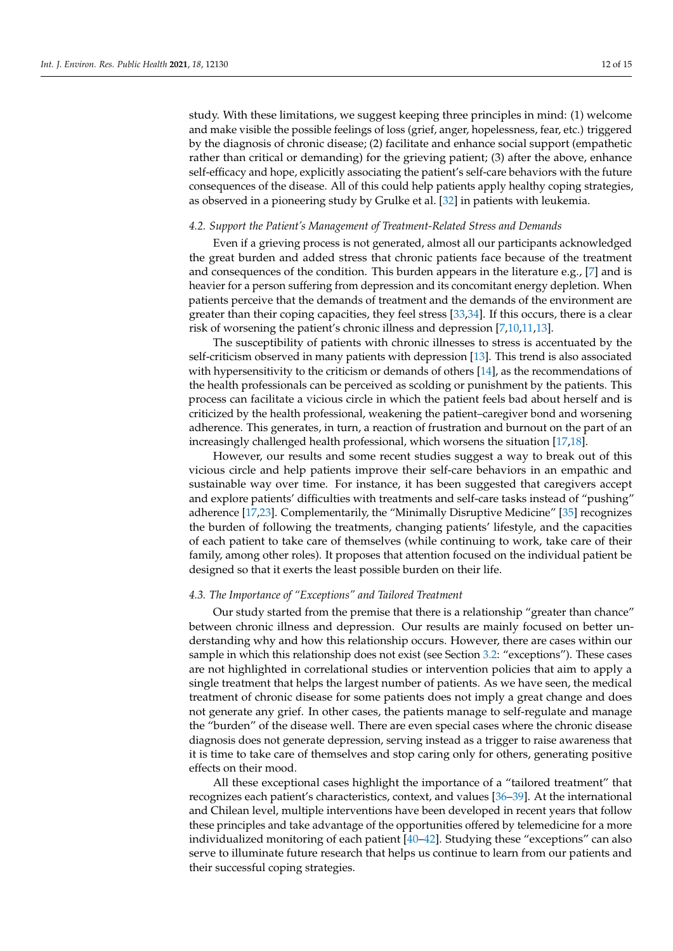study. With these limitations, we suggest keeping three principles in mind: (1) welcome and make visible the possible feelings of loss (grief, anger, hopelessness, fear, etc.) triggered by the diagnosis of chronic disease; (2) facilitate and enhance social support (empathetic rather than critical or demanding) for the grieving patient; (3) after the above, enhance self-efficacy and hope, explicitly associating the patient's self-care behaviors with the future consequences of the disease. All of this could help patients apply healthy coping strategies, as observed in a pioneering study by Grulke et al. [\[32\]](#page-13-28) in patients with leukemia.

#### *4.2. Support the Patient's Management of Treatment-Related Stress and Demands*

Even if a grieving process is not generated, almost all our participants acknowledged the great burden and added stress that chronic patients face because of the treatment and consequences of the condition. This burden appears in the literature e.g., [\[7\]](#page-13-4) and is heavier for a person suffering from depression and its concomitant energy depletion. When patients perceive that the demands of treatment and the demands of the environment are greater than their coping capacities, they feel stress [\[33](#page-14-0)[,34\]](#page-14-1). If this occurs, there is a clear risk of worsening the patient's chronic illness and depression [\[7](#page-13-4)[,10](#page-13-7)[,11](#page-13-6)[,13\]](#page-13-9).

The susceptibility of patients with chronic illnesses to stress is accentuated by the self-criticism observed in many patients with depression [\[13\]](#page-13-9). This trend is also associated with hypersensitivity to the criticism or demands of others [\[14\]](#page-13-10), as the recommendations of the health professionals can be perceived as scolding or punishment by the patients. This process can facilitate a vicious circle in which the patient feels bad about herself and is criticized by the health professional, weakening the patient–caregiver bond and worsening adherence. This generates, in turn, a reaction of frustration and burnout on the part of an increasingly challenged health professional, which worsens the situation [\[17,](#page-13-13)[18\]](#page-13-14).

However, our results and some recent studies suggest a way to break out of this vicious circle and help patients improve their self-care behaviors in an empathic and sustainable way over time. For instance, it has been suggested that caregivers accept and explore patients' difficulties with treatments and self-care tasks instead of "pushing" adherence [\[17](#page-13-13)[,23\]](#page-13-19). Complementarily, the "Minimally Disruptive Medicine" [\[35\]](#page-14-2) recognizes the burden of following the treatments, changing patients' lifestyle, and the capacities of each patient to take care of themselves (while continuing to work, take care of their family, among other roles). It proposes that attention focused on the individual patient be designed so that it exerts the least possible burden on their life.

#### *4.3. The Importance of "Exceptions" and Tailored Treatment*

Our study started from the premise that there is a relationship "greater than chance" between chronic illness and depression. Our results are mainly focused on better understanding why and how this relationship occurs. However, there are cases within our sample in which this relationship does not exist (see Section [3.2:](#page-8-0) "exceptions"). These cases are not highlighted in correlational studies or intervention policies that aim to apply a single treatment that helps the largest number of patients. As we have seen, the medical treatment of chronic disease for some patients does not imply a great change and does not generate any grief. In other cases, the patients manage to self-regulate and manage the "burden" of the disease well. There are even special cases where the chronic disease diagnosis does not generate depression, serving instead as a trigger to raise awareness that it is time to take care of themselves and stop caring only for others, generating positive effects on their mood.

All these exceptional cases highlight the importance of a "tailored treatment" that recognizes each patient's characteristics, context, and values [\[36–](#page-14-3)[39\]](#page-14-4). At the international and Chilean level, multiple interventions have been developed in recent years that follow these principles and take advantage of the opportunities offered by telemedicine for a more individualized monitoring of each patient [\[40](#page-14-5)[–42\]](#page-14-6). Studying these "exceptions" can also serve to illuminate future research that helps us continue to learn from our patients and their successful coping strategies.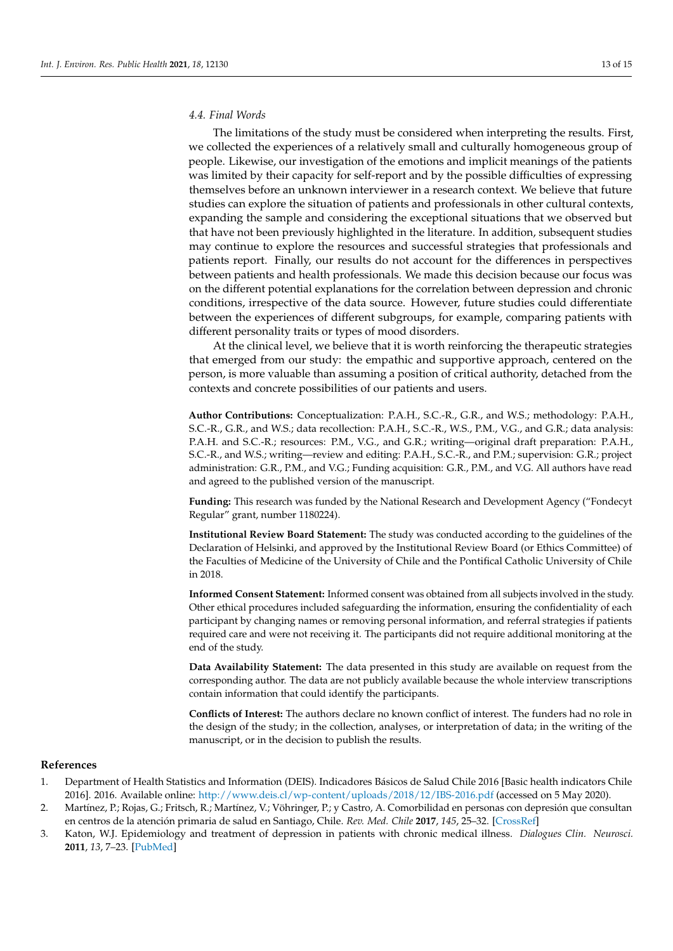# *4.4. Final Words*

The limitations of the study must be considered when interpreting the results. First, we collected the experiences of a relatively small and culturally homogeneous group of people. Likewise, our investigation of the emotions and implicit meanings of the patients was limited by their capacity for self-report and by the possible difficulties of expressing themselves before an unknown interviewer in a research context. We believe that future studies can explore the situation of patients and professionals in other cultural contexts, expanding the sample and considering the exceptional situations that we observed but that have not been previously highlighted in the literature. In addition, subsequent studies may continue to explore the resources and successful strategies that professionals and patients report. Finally, our results do not account for the differences in perspectives between patients and health professionals. We made this decision because our focus was on the different potential explanations for the correlation between depression and chronic conditions, irrespective of the data source. However, future studies could differentiate between the experiences of different subgroups, for example, comparing patients with different personality traits or types of mood disorders.

At the clinical level, we believe that it is worth reinforcing the therapeutic strategies that emerged from our study: the empathic and supportive approach, centered on the person, is more valuable than assuming a position of critical authority, detached from the contexts and concrete possibilities of our patients and users.

**Author Contributions:** Conceptualization: P.A.H., S.C.-R., G.R., and W.S.; methodology: P.A.H., S.C.-R., G.R., and W.S.; data recollection: P.A.H., S.C.-R., W.S., P.M., V.G., and G.R.; data analysis: P.A.H. and S.C.-R.; resources: P.M., V.G., and G.R.; writing—original draft preparation: P.A.H., S.C.-R., and W.S.; writing—review and editing: P.A.H., S.C.-R., and P.M.; supervision: G.R.; project administration: G.R., P.M., and V.G.; Funding acquisition: G.R., P.M., and V.G. All authors have read and agreed to the published version of the manuscript.

**Funding:** This research was funded by the National Research and Development Agency ("Fondecyt Regular" grant, number 1180224).

**Institutional Review Board Statement:** The study was conducted according to the guidelines of the Declaration of Helsinki, and approved by the Institutional Review Board (or Ethics Committee) of the Faculties of Medicine of the University of Chile and the Pontifical Catholic University of Chile in 2018.

**Informed Consent Statement:** Informed consent was obtained from all subjects involved in the study. Other ethical procedures included safeguarding the information, ensuring the confidentiality of each participant by changing names or removing personal information, and referral strategies if patients required care and were not receiving it. The participants did not require additional monitoring at the end of the study.

**Data Availability Statement:** The data presented in this study are available on request from the corresponding author. The data are not publicly available because the whole interview transcriptions contain information that could identify the participants.

**Conflicts of Interest:** The authors declare no known conflict of interest. The funders had no role in the design of the study; in the collection, analyses, or interpretation of data; in the writing of the manuscript, or in the decision to publish the results.

#### **References**

- <span id="page-12-0"></span>1. Department of Health Statistics and Information (DEIS). Indicadores Básicos de Salud Chile 2016 [Basic health indicators Chile 2016]. 2016. Available online: <http://www.deis.cl/wp-content/uploads/2018/12/IBS-2016.pdf> (accessed on 5 May 2020).
- <span id="page-12-1"></span>2. Martínez, P.; Rojas, G.; Fritsch, R.; Martínez, V.; Vöhringer, P.; y Castro, A. Comorbilidad en personas con depresión que consultan en centros de la atención primaria de salud en Santiago, Chile. *Rev. Med. Chile* **2017**, *145*, 25–32. [\[CrossRef\]](http://doi.org/10.4067/S0034-98872017000100004)
- <span id="page-12-2"></span>3. Katon, W.J. Epidemiology and treatment of depression in patients with chronic medical illness. *Dialogues Clin. Neurosci.* **2011**, *13*, 7–23. [\[PubMed\]](http://www.ncbi.nlm.nih.gov/pubmed/21485743)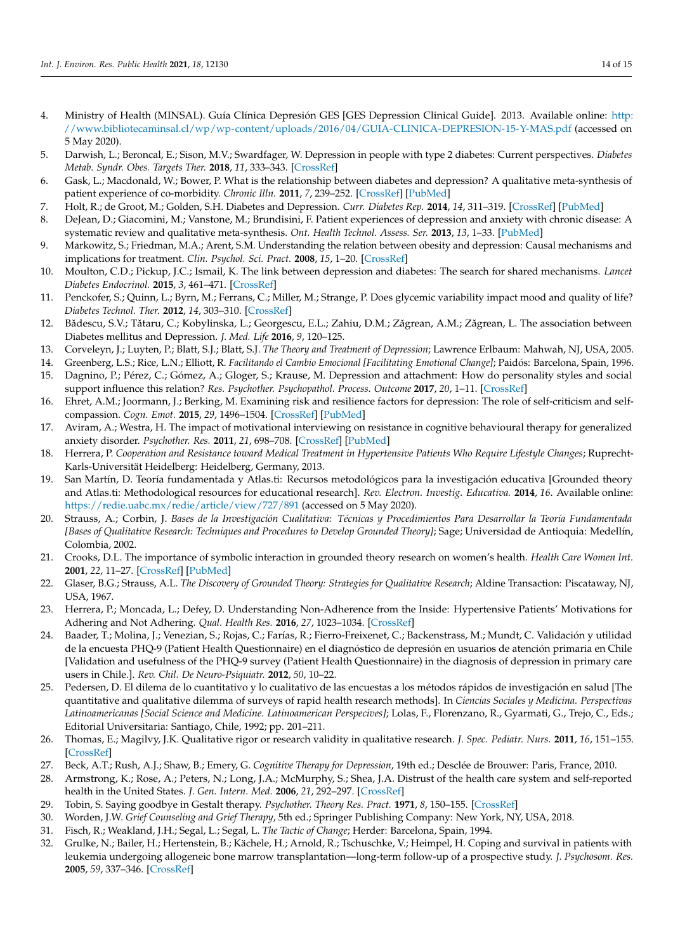- <span id="page-13-0"></span>4. Ministry of Health (MINSAL). Guía Clínica Depresión GES [GES Depression Clinical Guide]. 2013. Available online: [http:](http://www.bibliotecaminsal.cl/wp/wp-content/uploads/2016/04/GUIA-CLINICA-DEPRESION-15-Y-MAS.pdf) [//www.bibliotecaminsal.cl/wp/wp-content/uploads/2016/04/GUIA-CLINICA-DEPRESION-15-Y-MAS.pdf](http://www.bibliotecaminsal.cl/wp/wp-content/uploads/2016/04/GUIA-CLINICA-DEPRESION-15-Y-MAS.pdf) (accessed on 5 May 2020).
- <span id="page-13-1"></span>5. Darwish, L.; Beroncal, E.; Sison, M.V.; Swardfager, W. Depression in people with type 2 diabetes: Current perspectives. *Diabetes Metab. Syndr. Obes. Targets Ther.* **2018**, *11*, 333–343. [\[CrossRef\]](http://doi.org/10.2147/DMSO.S106797)
- <span id="page-13-2"></span>6. Gask, L.; Macdonald, W.; Bower, P. What is the relationship between diabetes and depression? A qualitative meta-synthesis of patient experience of co-morbidity. *Chronic Illn.* **2011**, *7*, 239–252. [\[CrossRef\]](http://doi.org/10.1177/1742395311403636) [\[PubMed\]](http://www.ncbi.nlm.nih.gov/pubmed/21840916)
- <span id="page-13-4"></span>7. Holt, R.; de Groot, M.; Golden, S.H. Diabetes and Depression. *Curr. Diabetes Rep.* **2014**, *14*, 311–319. [\[CrossRef\]](http://doi.org/10.1007/s11892-014-0491-3) [\[PubMed\]](http://www.ncbi.nlm.nih.gov/pubmed/24743941)
- <span id="page-13-3"></span>8. DeJean, D.; Giacomini, M.; Vanstone, M.; Brundisini, F. Patient experiences of depression and anxiety with chronic disease: A systematic review and qualitative meta-synthesis. *Ont. Health Technol. Assess. Ser.* **2013**, *13*, 1–33. [\[PubMed\]](http://www.ncbi.nlm.nih.gov/pubmed/24228079)
- <span id="page-13-5"></span>9. Markowitz, S.; Friedman, M.A.; Arent, S.M. Understanding the relation between obesity and depression: Causal mechanisms and implications for treatment. *Clin. Psychol. Sci. Pract.* **2008**, *15*, 1–20. [\[CrossRef\]](http://doi.org/10.1111/j.1468-2850.2008.00106.x)
- <span id="page-13-7"></span>10. Moulton, C.D.; Pickup, J.C.; Ismail, K. The link between depression and diabetes: The search for shared mechanisms. *Lancet Diabetes Endocrinol.* **2015**, *3*, 461–471. [\[CrossRef\]](http://doi.org/10.1016/S2213-8587(15)00134-5)
- <span id="page-13-6"></span>11. Penckofer, S.; Quinn, L.; Byrn, M.; Ferrans, C.; Miller, M.; Strange, P. Does glycemic variability impact mood and quality of life? *Diabetes Technol. Ther.* **2012**, *14*, 303–310. [\[CrossRef\]](http://doi.org/10.1089/dia.2011.0191)
- <span id="page-13-8"></span>12. Bădescu, S.V.; Tătaru, C.; Kobylinska, L.; Georgescu, E.L.; Zahiu, D.M.; Zăgrean, A.M.; Zăgrean, L. The association between Diabetes mellitus and Depression. *J. Med. Life* **2016**, *9*, 120–125.
- <span id="page-13-9"></span>13. Corveleyn, J.; Luyten, P.; Blatt, S.J.; Blatt, S.J. *The Theory and Treatment of Depression*; Lawrence Erlbaum: Mahwah, NJ, USA, 2005.
- <span id="page-13-10"></span>14. Greenberg, L.S.; Rice, L.N.; Elliott, R. *Facilitando el Cambio Emocional [Facilitating Emotional Change]*; Paidós: Barcelona, Spain, 1996.
- <span id="page-13-11"></span>15. Dagnino, P.; Pérez, C.; Gómez, A.; Gloger, S.; Krause, M. Depression and attachment: How do personality styles and social support influence this relation? *Res. Psychother. Psychopathol. Process. Outcome* **2017**, *20*, 1–11. [\[CrossRef\]](http://doi.org/10.4081/ripppo.2017.237)
- <span id="page-13-12"></span>16. Ehret, A.M.; Joormann, J.; Berking, M. Examining risk and resilience factors for depression: The role of self-criticism and selfcompassion. *Cogn. Emot.* **2015**, *29*, 1496–1504. [\[CrossRef\]](http://doi.org/10.1080/02699931.2014.992394) [\[PubMed\]](http://www.ncbi.nlm.nih.gov/pubmed/25517734)
- <span id="page-13-13"></span>17. Aviram, A.; Westra, H. The impact of motivational interviewing on resistance in cognitive behavioural therapy for generalized anxiety disorder. *Psychother. Res.* **2011**, *21*, 698–708. [\[CrossRef\]](http://doi.org/10.1080/10503307.2011.610832) [\[PubMed\]](http://www.ncbi.nlm.nih.gov/pubmed/21878034)
- <span id="page-13-14"></span>18. Herrera, P. *Cooperation and Resistance toward Medical Treatment in Hypertensive Patients Who Require Lifestyle Changes*; Ruprecht-Karls-Universität Heidelberg: Heidelberg, Germany, 2013.
- <span id="page-13-15"></span>19. San Martín, D. Teoría fundamentada y Atlas.ti: Recursos metodológicos para la investigación educativa [Grounded theory and Atlas.ti: Methodological resources for educational research]. *Rev. Electron. Investig. Educativa.* **2014**, *16*. Available online: <https://redie.uabc.mx/redie/article/view/727/891> (accessed on 5 May 2020).
- <span id="page-13-16"></span>20. Strauss, A.; Corbin, J. *Bases de la Investigación Cualitativa: Técnicas y Procedimientos Para Desarrollar la Teoría Fundamentada [Bases of Qualitative Research: Techniques and Procedures to Develop Grounded Theory]*; Sage; Universidad de Antioquia: Medellín, Colombia, 2002.
- <span id="page-13-17"></span>21. Crooks, D.L. The importance of symbolic interaction in grounded theory research on women's health. *Health Care Women Int.* **2001**, *22*, 11–27. [\[CrossRef\]](http://doi.org/10.1080/073993301300003054) [\[PubMed\]](http://www.ncbi.nlm.nih.gov/pubmed/11813790)
- <span id="page-13-18"></span>22. Glaser, B.G.; Strauss, A.L. *The Discovery of Grounded Theory: Strategies for Qualitative Research*; Aldine Transaction: Piscataway, NJ, USA, 1967.
- <span id="page-13-19"></span>23. Herrera, P.; Moncada, L.; Defey, D. Understanding Non-Adherence from the Inside: Hypertensive Patients' Motivations for Adhering and Not Adhering. *Qual. Health Res.* **2016**, *27*, 1023–1034. [\[CrossRef\]](http://doi.org/10.1177/1049732316652529)
- <span id="page-13-20"></span>24. Baader, T.; Molina, J.; Venezian, S.; Rojas, C.; Farías, R.; Fierro-Freixenet, C.; Backenstrass, M.; Mundt, C. Validación y utilidad de la encuesta PHQ-9 (Patient Health Questionnaire) en el diagnóstico de depresión en usuarios de atención primaria en Chile [Validation and usefulness of the PHQ-9 survey (Patient Health Questionnaire) in the diagnosis of depression in primary care users in Chile.]. *Rev. Chil. De Neuro-Psiquiatr.* **2012**, *50*, 10–22.
- <span id="page-13-21"></span>25. Pedersen, D. El dilema de lo cuantitativo y lo cualitativo de las encuestas a los métodos rápidos de investigación en salud [The quantitative and qualitative dilemma of surveys of rapid health research methods]. In *Ciencias Sociales y Medicina. Perspectivas Latinoamericanas [Social Science and Medicine. Latinoamerican Perspecives]*; Lolas, F., Florenzano, R., Gyarmati, G., Trejo, C., Eds.; Editorial Universitaria: Santiago, Chile, 1992; pp. 201–211.
- <span id="page-13-22"></span>26. Thomas, E.; Magilvy, J.K. Qualitative rigor or research validity in qualitative research. *J. Spec. Pediatr. Nurs.* **2011**, *16*, 151–155. [\[CrossRef\]](http://doi.org/10.1111/j.1744-6155.2011.00283.x)
- <span id="page-13-23"></span>27. Beck, A.T.; Rush, A.J.; Shaw, B.; Emery, G. *Cognitive Therapy for Depression*, 19th ed.; Desclée de Brouwer: Paris, France, 2010.
- <span id="page-13-24"></span>28. Armstrong, K.; Rose, A.; Peters, N.; Long, J.A.; McMurphy, S.; Shea, J.A. Distrust of the health care system and self-reported health in the United States. *J. Gen. Intern. Med.* **2006**, *21*, 292–297. [\[CrossRef\]](http://doi.org/10.1111/j.1525-1497.2006.00396.x)
- <span id="page-13-25"></span>29. Tobin, S. Saying goodbye in Gestalt therapy. *Psychother. Theory Res. Pract.* **1971**, *8*, 150–155. [\[CrossRef\]](http://doi.org/10.1037/h0086643)
- <span id="page-13-26"></span>30. Worden, J.W. *Grief Counseling and Grief Therapy*, 5th ed.; Springer Publishing Company: New York, NY, USA, 2018.
- <span id="page-13-27"></span>31. Fisch, R.; Weakland, J.H.; Segal, L.; Segal, L. *The Tactic of Change*; Herder: Barcelona, Spain, 1994.
- <span id="page-13-28"></span>32. Grulke, N.; Bailer, H.; Hertenstein, B.; Kächele, H.; Arnold, R.; Tschuschke, V.; Heimpel, H. Coping and survival in patients with leukemia undergoing allogeneic bone marrow transplantation—long-term follow-up of a prospective study. *J. Psychosom. Res.* **2005**, *59*, 337–346. [\[CrossRef\]](http://doi.org/10.1016/j.jpsychores.2005.02.006)